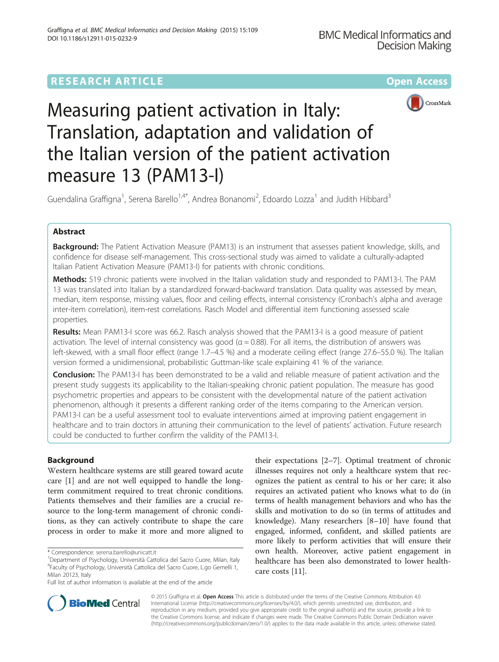# **RESEARCH ARTICLE Example 2014 12:30 The Contract of Contract ACCESS**





# Measuring patient activation in Italy: Translation, adaptation and validation of the Italian version of the patient activation measure 13 (PAM13-I)

Guendalina Graffigna<sup>1</sup>, Serena Barello<sup>1,4\*</sup>, Andrea Bonanomi<sup>2</sup>, Edoardo Lozza<sup>1</sup> and Judith Hibbard<sup>3</sup>

# Abstract

Background: The Patient Activation Measure (PAM13) is an instrument that assesses patient knowledge, skills, and confidence for disease self-management. This cross-sectional study was aimed to validate a culturally-adapted Italian Patient Activation Measure (PAM13-I) for patients with chronic conditions.

Methods: 519 chronic patients were involved in the Italian validation study and responded to PAM13-I. The PAM 13 was translated into Italian by a standardized forward-backward translation. Data quality was assessed by mean, median, item response, missing values, floor and ceiling effects, internal consistency (Cronbach's alpha and average inter-item correlation), item-rest correlations. Rasch Model and differential item functioning assessed scale properties.

Results: Mean PAM13-I score was 66.2. Rasch analysis showed that the PAM13-I is a good measure of patient activation. The level of internal consistency was good ( $\alpha$  = 0.88). For all items, the distribution of answers was left-skewed, with a small floor effect (range 1.7–4.5 %) and a moderate ceiling effect (range 27.6–55.0 %). The Italian version formed a unidimensional, probabilistic Guttman-like scale explaining 41 % of the variance.

Conclusion: The PAM13-I has been demonstrated to be a valid and reliable measure of patient activation and the present study suggests its applicability to the Italian-speaking chronic patient population. The measure has good psychometric properties and appears to be consistent with the developmental nature of the patient activation phenomenon, although it presents a different ranking order of the items comparing to the American version. PAM13-I can be a useful assessment tool to evaluate interventions aimed at improving patient engagement in healthcare and to train doctors in attuning their communication to the level of patients' activation. Future research could be conducted to further confirm the validity of the PAM13-I.

# Background

Western healthcare systems are still geared toward acute care [[1\]](#page-10-0) and are not well equipped to handle the longterm commitment required to treat chronic conditions. Patients themselves and their families are a crucial resource to the long-term management of chronic conditions, as they can actively contribute to shape the care process in order to make it more and more aligned to

their expectations [[2](#page-10-0)–[7\]](#page-11-0). Optimal treatment of chronic illnesses requires not only a healthcare system that recognizes the patient as central to his or her care; it also requires an activated patient who knows what to do (in terms of health management behaviors and who has the skills and motivation to do so (in terms of attitudes and knowledge). Many researchers [\[8](#page-11-0)–[10\]](#page-11-0) have found that engaged, informed, confident, and skilled patients are more likely to perform activities that will ensure their own health. Moreover, active patient engagement in healthcare has been also demonstrated to lower healthcare costs [\[11\]](#page-11-0).



© 2015 Graffigna et al. Open Access This article is distributed under the terms of the Creative Commons Attribution 4.0 International License [\(http://creativecommons.org/licenses/by/4.0/](http://creativecommons.org/licenses/by/4.0/)), which permits unrestricted use, distribution, and reproduction in any medium, provided you give appropriate credit to the original author(s) and the source, provide a link to the Creative Commons license, and indicate if changes were made. The Creative Commons Public Domain Dedication waiver [\(http://creativecommons.org/publicdomain/zero/1.0/](http://creativecommons.org/publicdomain/zero/1.0/)) applies to the data made available in this article, unless otherwise stated.

<sup>\*</sup> Correspondence: [serena.barello@unicatt.it](mailto:serena.barello@unicatt.it) <sup>1</sup>

Department of Psychology, Università Cattolica del Sacro Cuore, Milan, Italy 4 Faculty of Psychology, Università Cattolica del Sacro Cuore, L.go Gemelli 1, Milan 20123, Italy

Full list of author information is available at the end of the article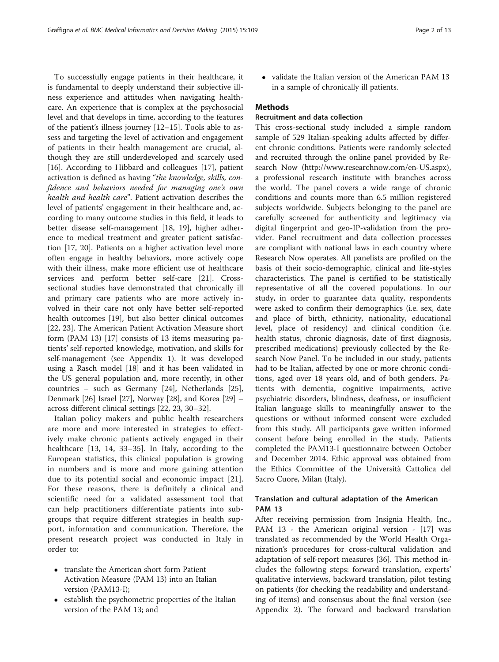To successfully engage patients in their healthcare, it is fundamental to deeply understand their subjective illness experience and attitudes when navigating healthcare. An experience that is complex at the psychosocial level and that develops in time, according to the features of the patient's illness journey [[12](#page-11-0)–[15](#page-11-0)]. Tools able to assess and targeting the level of activation and engagement of patients in their health management are crucial, although they are still underdeveloped and scarcely used [[16\]](#page-11-0). According to Hibbard and colleagues [\[17\]](#page-11-0), patient activation is defined as having "the knowledge, skills, confidence and behaviors needed for managing one's own health and health care". Patient activation describes the level of patients' engagement in their healthcare and, according to many outcome studies in this field, it leads to better disease self-management [[18](#page-11-0), [19](#page-11-0)], higher adherence to medical treatment and greater patient satisfaction [[17, 20\]](#page-11-0). Patients on a higher activation level more often engage in healthy behaviors, more actively cope with their illness, make more efficient use of healthcare services and perform better self-care [\[21](#page-11-0)]. Crosssectional studies have demonstrated that chronically ill and primary care patients who are more actively involved in their care not only have better self-reported health outcomes [[19\]](#page-11-0), but also better clinical outcomes [[22, 23\]](#page-11-0). The American Patient Activation Measure short form (PAM 13) [[17\]](#page-11-0) consists of 13 items measuring patients' self-reported knowledge, motivation, and skills for self-management (see Appendix [1\)](#page-9-0). It was developed using a Rasch model [\[18\]](#page-11-0) and it has been validated in the US general population and, more recently, in other countries – such as Germany [\[24](#page-11-0)], Netherlands [\[25](#page-11-0)], Denmark [\[26\]](#page-11-0) Israel [\[27](#page-11-0)], Norway [[28\]](#page-11-0), and Korea [[29](#page-11-0)] – across different clinical settings [\[22, 23, 30](#page-11-0)–[32\]](#page-11-0).

Italian policy makers and public health researchers are more and more interested in strategies to effectively make chronic patients actively engaged in their healthcare [[13, 14](#page-11-0), [33](#page-11-0)–[35](#page-11-0)]. In Italy, according to the European statistics, this clinical population is growing in numbers and is more and more gaining attention due to its potential social and economic impact [\[21](#page-11-0)]. For these reasons, there is definitely a clinical and scientific need for a validated assessment tool that can help practitioners differentiate patients into subgroups that require different strategies in health support, information and communication. Therefore, the present research project was conducted in Italy in order to:

- translate the American short form Patient Activation Measure (PAM 13) into an Italian version (PAM13-I);
- establish the psychometric properties of the Italian version of the PAM 13; and

• validate the Italian version of the American PAM 13 in a sample of chronically ill patients.

# Methods

# Recruitment and data collection

This cross-sectional study included a simple random sample of 529 Italian-speaking adults affected by different chronic conditions. Patients were randomly selected and recruited through the online panel provided by Research Now (<http://www.researchnow.com/en-US.aspx>), a professional research institute with branches across the world. The panel covers a wide range of chronic conditions and counts more than 6.5 million registered subjects worldwide. Subjects belonging to the panel are carefully screened for authenticity and legitimacy via digital fingerprint and geo-IP-validation from the provider. Panel recruitment and data collection processes are compliant with national laws in each country where Research Now operates. All panelists are profiled on the basis of their socio-demographic, clinical and life-styles characteristics. The panel is certified to be statistically representative of all the covered populations. In our study, in order to guarantee data quality, respondents were asked to confirm their demographics (i.e. sex, date and place of birth, ethnicity, nationality, educational level, place of residency) and clinical condition (i.e. health status, chronic diagnosis, date of first diagnosis, prescribed medications) previously collected by the Research Now Panel. To be included in our study, patients had to be Italian, affected by one or more chronic conditions, aged over 18 years old, and of both genders. Patients with dementia, cognitive impairments, active psychiatric disorders, blindness, deafness, or insufficient Italian language skills to meaningfully answer to the questions or without informed consent were excluded from this study. All participants gave written informed consent before being enrolled in the study. Patients completed the PAM13-I questionnaire between October and December 2014. Ethic approval was obtained from the Ethics Committee of the Università Cattolica del Sacro Cuore, Milan (Italy).

# Translation and cultural adaptation of the American PAM 13

After receiving permission from Insignia Health, Inc., PAM 13 - the American original version - [[17\]](#page-11-0) was translated as recommended by the World Health Organization's procedures for cross-cultural validation and adaptation of self-report measures [[36](#page-11-0)]. This method includes the following steps: forward translation, experts' qualitative interviews, backward translation, pilot testing on patients (for checking the readability and understanding of items) and consensus about the final version (see Appendix [2\)](#page-9-0). The forward and backward translation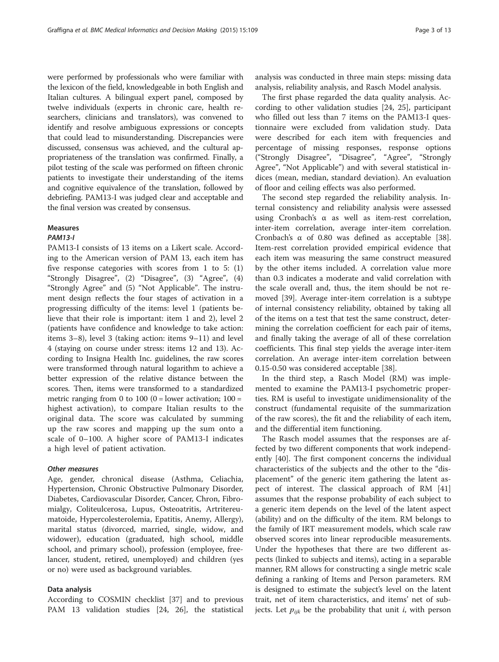were performed by professionals who were familiar with the lexicon of the field, knowledgeable in both English and Italian cultures. A bilingual expert panel, composed by twelve individuals (experts in chronic care, health researchers, clinicians and translators), was convened to identify and resolve ambiguous expressions or concepts that could lead to misunderstanding. Discrepancies were discussed, consensus was achieved, and the cultural appropriateness of the translation was confirmed. Finally, a pilot testing of the scale was performed on fifteen chronic patients to investigate their understanding of the items and cognitive equivalence of the translation, followed by debriefing. PAM13-I was judged clear and acceptable and the final version was created by consensus.

### Measures

### **PAM13-1**

PAM13-I PAM13-I consists of 13 items on a Likert scale. According to the American version of PAM 13, each item has five response categories with scores from 1 to 5: (1) "Strongly Disagree", (2) "Disagree", (3) "Agree", (4) "Strongly Agree" and (5) "Not Applicable". The instrument design reflects the four stages of activation in a progressing difficulty of the items: level 1 (patients believe that their role is important: item 1 and 2), level 2 (patients have confidence and knowledge to take action: items 3–8), level 3 (taking action: items 9–11) and level 4 (staying on course under stress: items 12 and 13). According to Insigna Health Inc. guidelines, the raw scores were transformed through natural logarithm to achieve a better expression of the relative distance between the scores. Then, items were transformed to a standardized metric ranging from 0 to 100 (0 = lower activation;  $100 =$ highest activation), to compare Italian results to the original data. The score was calculated by summing up the raw scores and mapping up the sum onto a scale of 0–100. A higher score of PAM13-I indicates a high level of patient activation.

Age, gender, chronical disease (Asthma, Celiachia, Hypertension, Chronic Obstructive Pulmonary Disorder, Diabetes, Cardiovascular Disorder, Cancer, Chron, Fibromialgy, Coliteulcerosa, Lupus, Osteoatritis, Artritereumatoide, Hypercolesterolemia, Epatitis, Anemy, Allergy), marital status (divorced, married, single, widow, and widower), education (graduated, high school, middle school, and primary school), profession (employee, freelancer, student, retired, unemployed) and children (yes or no) were used as background variables.

### Data analysis

According to COSMIN checklist [[37\]](#page-11-0) and to previous PAM 13 validation studies [[24, 26](#page-11-0)], the statistical analysis was conducted in three main steps: missing data analysis, reliability analysis, and Rasch Model analysis.

The first phase regarded the data quality analysis. According to other validation studies [[24, 25\]](#page-11-0), participant who filled out less than 7 items on the PAM13-I questionnaire were excluded from validation study. Data were described for each item with frequencies and percentage of missing responses, response options ("Strongly Disagree", "Disagree", "Agree", "Strongly Agree", "Not Applicable") and with several statistical indices (mean, median, standard deviation). An evaluation of floor and ceiling effects was also performed.

The second step regarded the reliability analysis. Internal consistency and reliability analysis were assessed using Cronbach's α as well as item-rest correlation, inter-item correlation, average inter-item correlation. Cronbach's α of 0.80 was defined as acceptable [\[38](#page-11-0)]. Item-rest correlation provided empirical evidence that each item was measuring the same construct measured by the other items included. A correlation value more than 0.3 indicates a moderate and valid correlation with the scale overall and, thus, the item should be not removed [\[39](#page-11-0)]. Average inter-item correlation is a subtype of internal consistency reliability, obtained by taking all of the items on a test that test the same construct, determining the correlation coefficient for each pair of items, and finally taking the average of all of these correlation coefficients. This final step yields the average inter-item correlation. An average inter-item correlation between 0.15-0.50 was considered acceptable [[38\]](#page-11-0).

In the third step, a Rasch Model (RM) was implemented to examine the PAM13-I psychometric properties. RM is useful to investigate unidimensionality of the construct (fundamental requisite of the summarization of the raw scores), the fit and the reliability of each item, and the differential item functioning.

The Rasch model assumes that the responses are affected by two different components that work independently [[40\]](#page-11-0). The first component concerns the individual characteristics of the subjects and the other to the "displacement" of the generic item gathering the latent aspect of interest. The classical approach of RM [[41](#page-11-0)] assumes that the response probability of each subject to a generic item depends on the level of the latent aspect (ability) and on the difficulty of the item. RM belongs to the family of IRT measurement models, which scale raw observed scores into linear reproducible measurements. Under the hypotheses that there are two different aspects (linked to subjects and items), acting in a separable manner, RM allows for constructing a single metric scale defining a ranking of Items and Person parameters. RM is designed to estimate the subject's level on the latent trait, net of item characteristics, and items' net of subjects. Let  $p_{ijk}$  be the probability that unit *i*, with person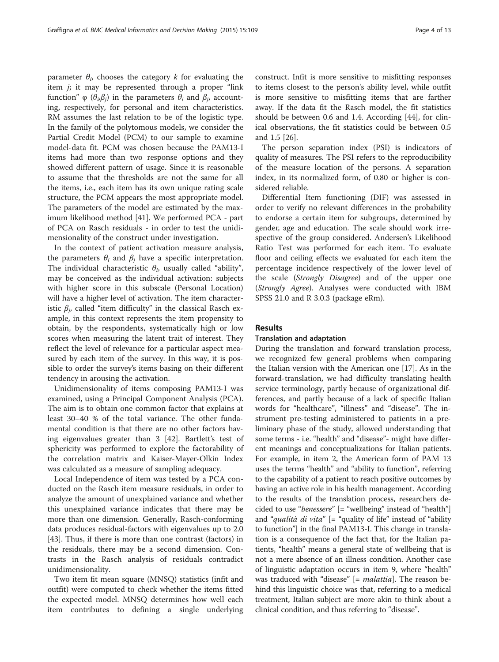parameter  $\theta_i$ , chooses the category k for evaluating the item  $j$ ; it may be represented through a proper "link" function" φ ( $\theta_i \beta_j$ ) in the parameters  $\theta_i$  and  $\beta_i$ , accounting, respectively, for personal and item characteristics. RM assumes the last relation to be of the logistic type. In the family of the polytomous models, we consider the Partial Credit Model (PCM) to our sample to examine model-data fit. PCM was chosen because the PAM13-I items had more than two response options and they showed different pattern of usage. Since it is reasonable to assume that the thresholds are not the same for all the items, i.e., each item has its own unique rating scale structure, the PCM appears the most appropriate model. The parameters of the model are estimated by the maximum likelihood method [\[41](#page-11-0)]. We performed PCA - part of PCA on Rasch residuals - in order to test the unidimensionality of the construct under investigation.

In the context of patient activation measure analysis, the parameters  $\theta_i$  and  $\beta_i$  have a specific interpretation. The individual characteristic  $\theta_i$ , usually called "ability", may be conceived as the individual activation: subjects with higher score in this subscale (Personal Location) will have a higher level of activation. The item characteristic  $\beta_i$ , called "item difficulty" in the classical Rasch example, in this context represents the item propensity to obtain, by the respondents, systematically high or low scores when measuring the latent trait of interest. They reflect the level of relevance for a particular aspect measured by each item of the survey. In this way, it is possible to order the survey's items basing on their different tendency in arousing the activation.

Unidimensionality of items composing PAM13-I was examined, using a Principal Component Analysis (PCA). The aim is to obtain one common factor that explains at least 30–40 % of the total variance. The other fundamental condition is that there are no other factors having eigenvalues greater than 3 [[42\]](#page-11-0). Bartlett's test of sphericity was performed to explore the factorability of the correlation matrix and Kaiser-Mayer-Olkin Index was calculated as a measure of sampling adequacy.

Local Independence of item was tested by a PCA conducted on the Rasch item measure residuals, in order to analyze the amount of unexplained variance and whether this unexplained variance indicates that there may be more than one dimension. Generally, Rasch-conforming data produces residual-factors with eigenvalues up to 2.0 [[43\]](#page-11-0). Thus, if there is more than one contrast (factors) in the residuals, there may be a second dimension. Contrasts in the Rasch analysis of residuals contradict unidimensionality.

Two item fit mean square (MNSQ) statistics (infit and outfit) were computed to check whether the items fitted the expected model. MNSQ determines how well each item contributes to defining a single underlying

construct. Infit is more sensitive to misfitting responses to items closest to the person's ability level, while outfit is more sensitive to misfitting items that are farther away. If the data fit the Rasch model, the fit statistics should be between 0.6 and 1.4. According [\[44](#page-11-0)], for clinical observations, the fit statistics could be between 0.5 and 1.5 [[26\]](#page-11-0).

The person separation index (PSI) is indicators of quality of measures. The PSI refers to the reproducibility of the measure location of the persons. A separation index, in its normalized form, of 0.80 or higher is considered reliable.

Differential Item functioning (DIF) was assessed in order to verify no relevant differences in the probability to endorse a certain item for subgroups, determined by gender, age and education. The scale should work irrespective of the group considered. Andersen's Likelihood Ratio Test was performed for each item. To evaluate floor and ceiling effects we evaluated for each item the percentage incidence respectively of the lower level of the scale (Strongly Disagree) and of the upper one (Strongly Agree). Analyses were conducted with IBM SPSS 21.0 and R 3.0.3 (package eRm).

# Results

### Translation and adaptation

During the translation and forward translation process, we recognized few general problems when comparing the Italian version with the American one [[17\]](#page-11-0). As in the forward-translation, we had difficulty translating health service terminology, partly because of organizational differences, and partly because of a lack of specific Italian words for "healthcare", "illness" and "disease". The instrument pre-testing administered to patients in a preliminary phase of the study, allowed understanding that some terms - i.e. "health" and "disease"- might have different meanings and conceptualizations for Italian patients. For example, in item 2, the American form of PAM 13 uses the terms "health" and "ability to function", referring to the capability of a patient to reach positive outcomes by having an active role in his health management. According to the results of the translation process, researchers decided to use "benessere" [= "wellbeing" instead of "health"] and "qualità di vita"  $[=$  "quality of life" instead of "ability to function"] in the final PAM13-I. This change in translation is a consequence of the fact that, for the Italian patients, "health" means a general state of wellbeing that is not a mere absence of an illness condition. Another case of linguistic adaptation occurs in item 9, where "health" was traduced with "disease" [= *malattia*]. The reason behind this linguistic choice was that, referring to a medical treatment, Italian subject are more akin to think about a clinical condition, and thus referring to "disease".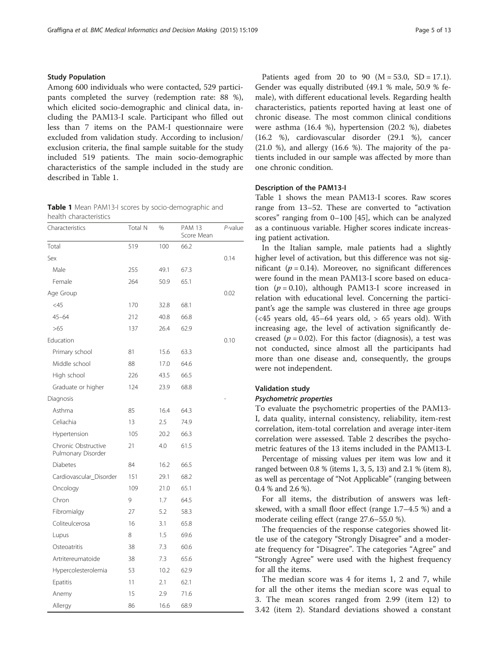# Study Population

Among 600 individuals who were contacted, 529 participants completed the survey (redemption rate: 88 %), which elicited socio-demographic and clinical data, including the PAM13-I scale. Participant who filled out less than 7 items on the PAM-I questionnaire were excluded from validation study. According to inclusion/ exclusion criteria, the final sample suitable for the study included 519 patients. The main socio-demographic characteristics of the sample included in the study are described in Table 1.

Table 1 Mean PAM13-I scores by socio-demographic and health characteristics

| Characteristics                           | Total N | %    | <b>PAM 13</b><br>Score Mean | P-value |
|-------------------------------------------|---------|------|-----------------------------|---------|
| Total                                     | 519     | 100  | 66.2                        |         |
| Sex                                       |         |      |                             | 0.14    |
| Male                                      | 255     | 49.1 | 67.3                        |         |
| Female                                    | 264     | 50.9 | 65.1                        |         |
| Age Group                                 |         |      |                             | 0.02    |
| $<$ 45                                    | 170     | 32.8 | 68.1                        |         |
| $45 - 64$                                 | 212     | 40.8 | 66.8                        |         |
| >65                                       | 137     | 26.4 | 62.9                        |         |
| Education                                 |         |      |                             | 0.10    |
| Primary school                            | 81      | 15.6 | 63.3                        |         |
| Middle school                             | 88      | 17.0 | 64.6                        |         |
| High school                               | 226     | 43.5 | 66.5                        |         |
| Graduate or higher                        | 124     | 23.9 | 68.8                        |         |
| Diagnosis                                 |         |      |                             |         |
| Asthma                                    | 85      | 16.4 | 64.3                        |         |
| Celiachia                                 | 13      | 2.5  | 74.9                        |         |
| Hypertension                              | 105     | 20.2 | 66.3                        |         |
| Chronic Obstructive<br>Pulmonary Disorder | 21      | 4.0  | 61.5                        |         |
| Diabetes                                  | 84      | 16.2 | 66.5                        |         |
| Cardiovascular_Disorder                   | 151     | 29.1 | 68.2                        |         |
| Oncology                                  | 109     | 21.0 | 65.1                        |         |
| Chron                                     | 9       | 1.7  | 64.5                        |         |
| Fibromialgy                               | 27      | 5.2  | 58.3                        |         |
| Coliteulcerosa                            | 16      | 3.1  | 65.8                        |         |
| Lupus                                     | 8       | 1.5  | 69.6                        |         |
| Osteoatritis                              | 38      | 7.3  | 60.6                        |         |
| Artritereumatoide                         | 38      | 7.3  | 65.6                        |         |
| Hypercolesterolemia                       | 53      | 10.2 | 62.9                        |         |
| Epatitis                                  | 11      | 2.1  | 62.1                        |         |
| Anemy                                     | 15      | 2.9  | 71.6                        |         |
| Allergy                                   | 86      | 16.6 | 68.9                        |         |

Patients aged from 20 to 90 ( $M = 53.0$ , SD = 17.1). Gender was equally distributed (49.1 % male, 50.9 % female), with different educational levels. Regarding health characteristics, patients reported having at least one of chronic disease. The most common clinical conditions were asthma (16.4 %), hypertension (20.2 %), diabetes (16.2 %), cardiovascular disorder (29.1 %), cancer  $(21.0 \%)$ , and allergy  $(16.6 \%)$ . The majority of the patients included in our sample was affected by more than one chronic condition.

# Description of the PAM13-I

Table 1 shows the mean PAM13-I scores. Raw scores range from 13–52. These are converted to "activation scores" ranging from 0–100 [[45](#page-11-0)], which can be analyzed as a continuous variable. Higher scores indicate increasing patient activation.

In the Italian sample, male patients had a slightly higher level of activation, but this difference was not significant ( $p = 0.14$ ). Moreover, no significant differences were found in the mean PAM13-I score based on education  $(p = 0.10)$ , although PAM13-I score increased in relation with educational level. Concerning the participant's age the sample was clustered in three age groups  $(\leq 45$  years old,  $45-64$  years old,  $> 65$  years old). With increasing age, the level of activation significantly decreased ( $p = 0.02$ ). For this factor (diagnosis), a test was not conducted, since almost all the participants had more than one disease and, consequently, the groups were not independent.

# Validation study

To evaluate the psychometric properties of the PAM13-I, data quality, internal consistency, reliability, item-rest correlation, item-total correlation and average inter-item correlation were assessed. Table [2](#page-5-0) describes the psychometric features of the 13 items included in the PAM13-I.

Percentage of missing values per item was low and it ranged between 0.8 % (items 1, 3, 5, 13) and 2.1 % (item 8), as well as percentage of "Not Applicable" (ranging between 0.4 % and 2.6 %).

For all items, the distribution of answers was leftskewed, with a small floor effect (range 1.7–4.5 %) and a moderate ceiling effect (range 27.6–55.0 %).

The frequencies of the response categories showed little use of the category "Strongly Disagree" and a moderate frequency for "Disagree". The categories "Agree" and "Strongly Agree" were used with the highest frequency for all the items.

The median score was 4 for items 1, 2 and 7, while for all the other items the median score was equal to 3. The mean scores ranged from 2.99 (item 12) to 3.42 (item 2). Standard deviations showed a constant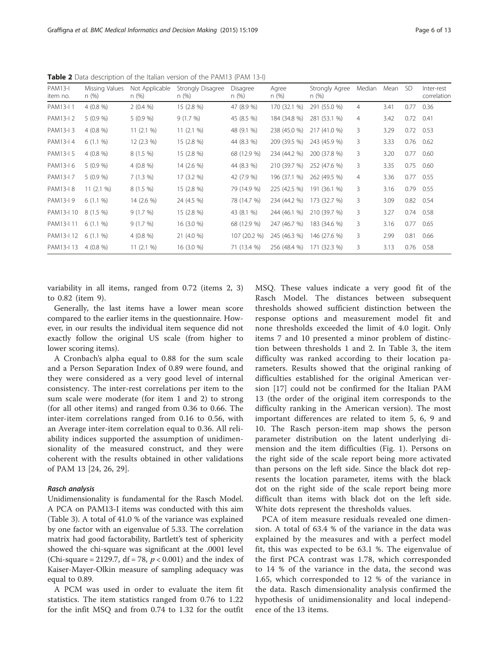| PAM13-I<br>item no. | Missing Values<br>n(%) | Not Applicable<br>n(%) | Strongly Disagree<br>n(%) | Disagree<br>n (%) | Agree<br>n(%) | Strongly Agree<br>n (%) | Median         | Mean | -SD  | Inter-rest<br>correlation |
|---------------------|------------------------|------------------------|---------------------------|-------------------|---------------|-------------------------|----------------|------|------|---------------------------|
| PAM13-I 1           | $4(0.8\%)$             | 2(0.4%                 | 15 (2.8 %)                | 47 (8.9 %)        | 170 (32.1 %)  | 291 (55.0 %)            | 4              | 3.41 | 0.77 | 0.36                      |
| PAM13-I 2           | 5(0.9%                 | 5(0.9%                 | 9(1.7%)                   | 45 (8.5 %)        | 184 (34.8 %)  | 281 (53.1 %)            | $\overline{4}$ | 3.42 | 0.72 | 0.41                      |
| PAM13-I 3           | $4(0.8\%)$             | 11(2.1%                | 11(2.1%                   | 48 (9.1 %)        | 238 (45.0 %)  | 217 (41.0 %)            | 3              | 3.29 | 0.72 | 0.53                      |
| PAM13-I 4           | $6(1.1\%)$             | 12 (2.3 %)             | 15 (2.8 %)                | 44 (8.3 %)        | 209 (39.5 %)  | 243 (45.9 %)            | 3              | 3.33 | 0.76 | 0.62                      |
| PAM13-I 5           | $4(0.8\%)$             | $8(1.5\%)$             | 15 (2.8 %)                | 68 (12.9 %)       | 234 (44.2 %)  | 200 (37.8 %)            | 3              | 3.20 | 0.77 | 0.60                      |
| PAM13-I 6           | 5(0.9%                 | $4(0.8\%)$             | 14 (2.6 %)                | 44 (8.3 %)        | 210 (39.7 %)  | 252 (47.6 %)            | 3              | 3.35 | 0.75 | 0.60                      |
| PAM13-I 7           | 5(0.9%                 | 7(1.3%)                | 17 (3.2 %)                | 42 (7.9 %)        | 196 (37.1 %)  | 262 (49.5 %)            | $\overline{4}$ | 3.36 | 0.77 | 0.55                      |
| PAM13-I 8           | 11(2.1%                | $8(1.5\%)$             | 15 (2.8 %)                | 79 (14.9 %)       | 225 (42.5 %)  | 191 (36.1 %)            | 3              | 3.16 | 0.79 | 0.55                      |
| PAM13-I 9           | $6(1.1\%)$             | 14 (2.6 %)             | 24 (4.5 %)                | 78 (14.7 %)       | 234 (44.2 %)  | 173 (32.7 %)            | 3              | 3.09 | 0.82 | 0.54                      |
| PAM13-I 10          | 8 (1.5 %)              | 9(1.7%)                | 15 (2.8 %)                | 43 (8.1 %)        | 244 (46.1 %)  | 210 (39.7 %)            | 3              | 3.27 | 0.74 | 0.58                      |
| PAM13-I 11          | $6(1.1\%)$             | 9(1.7%)                | 16 (3.0 %)                | 68 (12.9 %)       | 247 (46.7 %)  | 183 (34.6 %)            | 3              | 3.16 | 0.77 | 0.65                      |
| PAM13-I 12          | $6(1.1\%)$             | $4(0.8\%)$             | 21 (4.0 %)                | 107 (20.2 %)      | 245 (46.3 %)  | 146 (27.6 %)            | 3              | 2.99 | 0.81 | 0.66                      |
| PAM13-I 13          | $4(0.8\%)$             | 11(2.1%                | 16 (3.0 %)                | 71 (13.4 %)       | 256 (48.4 %)  | 171 (32.3 %)            | 3              | 3.13 | 0.76 | 0.58                      |

<span id="page-5-0"></span>Table 2 Data description of the Italian version of the PAM13 (PAM 13-I)

variability in all items, ranged from 0.72 (items 2, 3) to 0.82 (item 9).

Generally, the last items have a lower mean score compared to the earlier items in the questionnaire. However, in our results the individual item sequence did not exactly follow the original US scale (from higher to lower scoring items).

A Cronbach's alpha equal to 0.88 for the sum scale and a Person Separation Index of 0.89 were found, and they were considered as a very good level of internal consistency. The inter-rest correlations per item to the sum scale were moderate (for item 1 and 2) to strong (for all other items) and ranged from 0.36 to 0.66. The inter-item correlations ranged from 0.16 to 0.56, with an Average inter-item correlation equal to 0.36. All reliability indices supported the assumption of unidimensionality of the measured construct, and they were coherent with the results obtained in other validations of PAM 13 [\[24](#page-11-0), [26, 29\]](#page-11-0).

Unidimensionality is fundamental for the Rasch Model. A PCA on PAM13-I items was conducted with this aim (Table [3\)](#page-6-0). A total of 41.0 % of the variance was explained by one factor with an eigenvalue of 5.33. The correlation matrix had good factorability, Bartlett's test of sphericity showed the chi-square was significant at the .0001 level (Chi-square = 2129.7, df = 78,  $p < 0.001$ ) and the index of Kaiser-Mayer-Olkin measure of sampling adequacy was equal to 0.89.

A PCM was used in order to evaluate the item fit statistics. The item statistics ranged from 0.76 to 1.22 for the infit MSQ and from 0.74 to 1.32 for the outfit MSQ. These values indicate a very good fit of the Rasch Model. The distances between subsequent thresholds showed sufficient distinction between the response options and measurement model fit and none thresholds exceeded the limit of 4.0 logit. Only items 7 and 10 presented a minor problem of distinction between thresholds 1 and 2. In Table [3](#page-6-0), the item difficulty was ranked according to their location parameters. Results showed that the original ranking of difficulties established for the original American version [\[17](#page-11-0)] could not be confirmed for the Italian PAM 13 (the order of the original item corresponds to the difficulty ranking in the American version). The most important differences are related to item 5, 6, 9 and 10. The Rasch person-item map shows the person parameter distribution on the latent underlying dimension and the item difficulties (Fig. [1](#page-7-0)). Persons on the right side of the scale report being more activated than persons on the left side. Since the black dot represents the location parameter, items with the black dot on the right side of the scale report being more difficult than items with black dot on the left side. White dots represent the thresholds values.

PCA of item measure residuals revealed one dimension. A total of 63.4 % of the variance in the data was explained by the measures and with a perfect model fit, this was expected to be 63.1 %. The eigenvalue of the first PCA contrast was 1.78, which corresponded to 14 % of the variance in the data, the second was 1.65, which corresponded to 12 % of the variance in the data. Rasch dimensionality analysis confirmed the hypothesis of unidimensionality and local independence of the 13 items.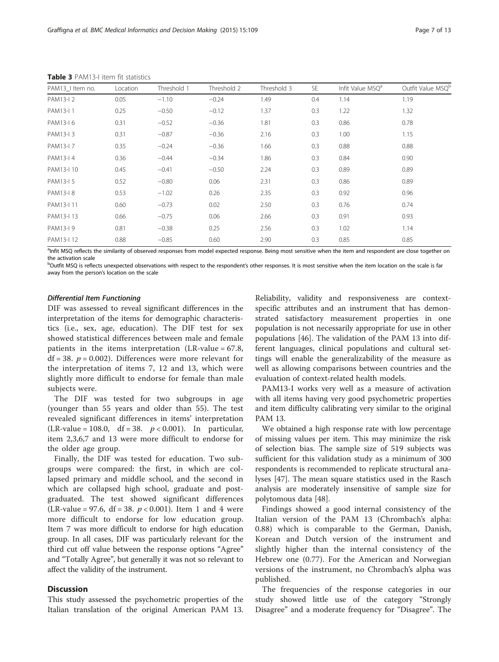| PAM13_I Item no. | Location | Threshold 1 | Threshold 2 | Threshold 3 | <b>SE</b> | Infit Value MSQ <sup>a</sup> | Outfit Value MSQ <sup>b</sup> |
|------------------|----------|-------------|-------------|-------------|-----------|------------------------------|-------------------------------|
| PAM13-I 2        | 0.05     | $-1.10$     | $-0.24$     | 1.49        | 0.4       | 1.14                         | 1.19                          |
| PAM13-I 1        | 0.25     | $-0.50$     | $-0.12$     | 1.37        | 0.3       | 1.22                         | 1.32                          |
| PAM13-I 6        | 0.31     | $-0.52$     | $-0.36$     | 1.81        | 0.3       | 0.86                         | 0.78                          |
| PAM13-I 3        | 0.31     | $-0.87$     | $-0.36$     | 2.16        | 0.3       | 1.00                         | 1.15                          |
| PAM13-I 7        | 0.35     | $-0.24$     | $-0.36$     | 1.66        | 0.3       | 0.88                         | 0.88                          |
| PAM13-I 4        | 0.36     | $-0.44$     | $-0.34$     | 1.86        | 0.3       | 0.84                         | 0.90                          |
| PAM13-I 10       | 0.45     | $-0.41$     | $-0.50$     | 2.24        | 0.3       | 0.89                         | 0.89                          |
| PAM13-I 5        | 0.52     | $-0.80$     | 0.06        | 2.31        | 0.3       | 0.86                         | 0.89                          |
| PAM13-I 8        | 0.53     | $-1.02$     | 0.26        | 2.35        | 0.3       | 0.92                         | 0.96                          |
| PAM13-I 11       | 0.60     | $-0.73$     | 0.02        | 2.50        | 0.3       | 0.76                         | 0.74                          |
| PAM13-I 13       | 0.66     | $-0.75$     | 0.06        | 2.66        | 0.3       | 0.91                         | 0.93                          |
| PAM13-I 9        | 0.81     | $-0.38$     | 0.25        | 2.56        | 0.3       | 1.02                         | 1.14                          |
| PAM13-I 12       | 0.88     | $-0.85$     | 0.60        | 2.90        | 0.3       | 0.85                         | 0.85                          |

<span id="page-6-0"></span>Table 3 PAM13-I item fit statistics

<sup>a</sup>Infit MSQ reflects the similarity of observed responses from model expected response. Being most sensitive when the item and respondent are close together on the activation scale

<sup>b</sup>Outfit MSQ is reflects unexpected observations with respect to the respondent's other responses. It is most sensitive when the item location on the scale is far away from the person's location on the scale

DIF was assessed to reveal significant differences in the interpretation of the items for demographic characteristics (i.e., sex, age, education). The DIF test for sex showed statistical differences between male and female patients in the items interpretation  $(LR-value = 67.8,$ df = 38.  $p = 0.002$ ). Differences were more relevant for the interpretation of items 7, 12 and 13, which were slightly more difficult to endorse for female than male subjects were.

The DIF was tested for two subgroups in age (younger than 55 years and older than 55). The test revealed significant differences in items' interpretation (LR-value = 108.0, df = 38.  $p < 0.001$ ). In particular, item 2,3,6,7 and 13 were more difficult to endorse for the older age group.

Finally, the DIF was tested for education. Two subgroups were compared: the first, in which are collapsed primary and middle school, and the second in which are collapsed high school, graduate and postgraduated. The test showed significant differences (LR-value = 97.6, df = 38.  $p < 0.001$ ). Item 1 and 4 were more difficult to endorse for low education group. Item 7 was more difficult to endorse for high education group. In all cases, DIF was particularly relevant for the third cut off value between the response options "Agree" and "Totally Agree", but generally it was not so relevant to affect the validity of the instrument.

# **Discussion**

This study assessed the psychometric properties of the Italian translation of the original American PAM 13. Reliability, validity and responsiveness are contextspecific attributes and an instrument that has demonstrated satisfactory measurement properties in one population is not necessarily appropriate for use in other populations [[46\]](#page-11-0). The validation of the PAM 13 into different languages, clinical populations and cultural settings will enable the generalizability of the measure as well as allowing comparisons between countries and the evaluation of context-related health models.

PAM13-I works very well as a measure of activation with all items having very good psychometric properties and item difficulty calibrating very similar to the original PAM 13.

We obtained a high response rate with low percentage of missing values per item. This may minimize the risk of selection bias. The sample size of 519 subjects was sufficient for this validation study as a minimum of 300 respondents is recommended to replicate structural analyses [\[47](#page-11-0)]. The mean square statistics used in the Rasch analysis are moderately insensitive of sample size for polytomous data [[48\]](#page-11-0).

Findings showed a good internal consistency of the Italian version of the PAM 13 (Chrombach's alpha: 0.88) which is comparable to the German, Danish, Korean and Dutch version of the instrument and slightly higher than the internal consistency of the Hebrew one (0.77). For the American and Norwegian versions of the instrument, no Chrombach's alpha was published.

The frequencies of the response categories in our study showed little use of the category "Strongly Disagree" and a moderate frequency for "Disagree". The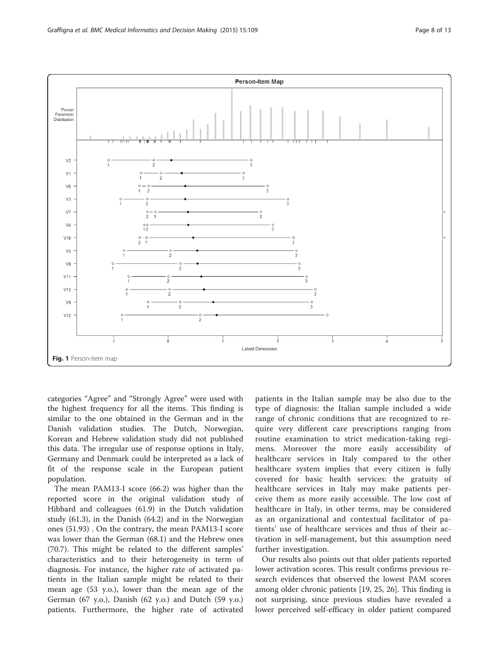<span id="page-7-0"></span>

categories "Agree" and "Strongly Agree" were used with the highest frequency for all the items. This finding is similar to the one obtained in the German and in the Danish validation studies. The Dutch, Norwegian, Korean and Hebrew validation study did not published this data. The irregular use of response options in Italy, Germany and Denmark could be interpreted as a lack of fit of the response scale in the European patient population.

The mean PAM13-I score (66.2) was higher than the reported score in the original validation study of Hibbard and colleagues (61.9) in the Dutch validation study (61.3), in the Danish (64.2) and in the Norwegian ones (51.93) . On the contrary, the mean PAM13-I score was lower than the German (68.1) and the Hebrew ones (70.7). This might be related to the different samples' characteristics and to their heterogeneity in term of diagnosis. For instance, the higher rate of activated patients in the Italian sample might be related to their mean age (53 y.o.), lower than the mean age of the German (67 y.o.), Danish (62 y.o.) and Dutch (59 y.o.) patients. Furthermore, the higher rate of activated

patients in the Italian sample may be also due to the type of diagnosis: the Italian sample included a wide range of chronic conditions that are recognized to require very different care prescriptions ranging from routine examination to strict medication-taking regimens. Moreover the more easily accessibility of healthcare services in Italy compared to the other healthcare system implies that every citizen is fully covered for basic health services: the gratuity of healthcare services in Italy may make patients perceive them as more easily accessible. The low cost of healthcare in Italy, in other terms, may be considered as an organizational and contextual facilitator of patients' use of healthcare services and thus of their activation in self-management, but this assumption need further investigation.

Our results also points out that older patients reported lower activation scores. This result confirms previous research evidences that observed the lowest PAM scores among older chronic patients [[19](#page-11-0), [25](#page-11-0), [26](#page-11-0)]. This finding is not surprising, since previous studies have revealed a lower perceived self-efficacy in older patient compared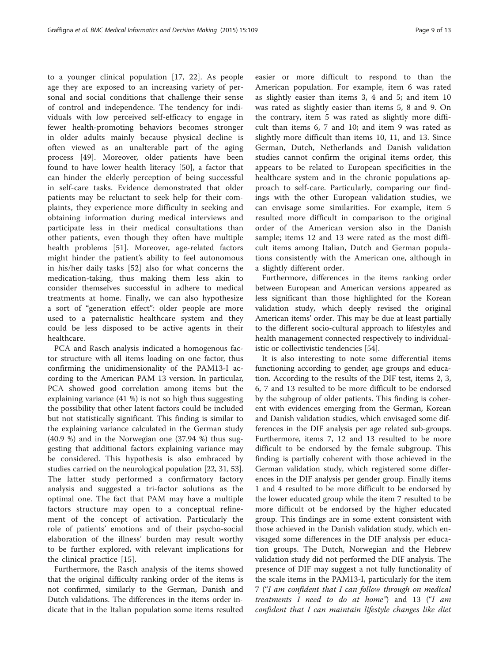to a younger clinical population [\[17](#page-11-0), [22\]](#page-11-0). As people age they are exposed to an increasing variety of personal and social conditions that challenge their sense of control and independence. The tendency for individuals with low perceived self-efficacy to engage in fewer health-promoting behaviors becomes stronger in older adults mainly because physical decline is often viewed as an unalterable part of the aging process [[49](#page-11-0)]. Moreover, older patients have been found to have lower health literacy [[50\]](#page-11-0), a factor that can hinder the elderly perception of being successful in self-care tasks. Evidence demonstrated that older patients may be reluctant to seek help for their complaints, they experience more difficulty in seeking and obtaining information during medical interviews and participate less in their medical consultations than other patients, even though they often have multiple health problems [\[51](#page-11-0)]. Moreover, age-related factors might hinder the patient's ability to feel autonomous in his/her daily tasks [[52\]](#page-11-0) also for what concerns the medication-taking, thus making them less akin to consider themselves successful in adhere to medical treatments at home. Finally, we can also hypothesize a sort of "generation effect": older people are more used to a paternalistic healthcare system and they could be less disposed to be active agents in their healthcare.

PCA and Rasch analysis indicated a homogenous factor structure with all items loading on one factor, thus confirming the unidimensionality of the PAM13-I according to the American PAM 13 version. In particular, PCA showed good correlation among items but the explaining variance (41 %) is not so high thus suggesting the possibility that other latent factors could be included but not statistically significant. This finding is similar to the explaining variance calculated in the German study (40.9 %) and in the Norwegian one (37.94 %) thus suggesting that additional factors explaining variance may be considered. This hypothesis is also embraced by studies carried on the neurological population [[22](#page-11-0), [31, 53](#page-11-0)]. The latter study performed a confirmatory factory analysis and suggested a tri-factor solutions as the optimal one. The fact that PAM may have a multiple factors structure may open to a conceptual refinement of the concept of activation. Particularly the role of patients' emotions and of their psycho-social elaboration of the illness' burden may result worthy to be further explored, with relevant implications for the clinical practice [\[15](#page-11-0)].

Furthermore, the Rasch analysis of the items showed that the original difficulty ranking order of the items is not confirmed, similarly to the German, Danish and Dutch validations. The differences in the items order indicate that in the Italian population some items resulted

easier or more difficult to respond to than the American population. For example, item 6 was rated as slightly easier than items 3, 4 and 5; and item 10 was rated as slightly easier than items 5, 8 and 9. On the contrary, item 5 was rated as slightly more difficult than items 6, 7 and 10; and item 9 was rated as slightly more difficult than items 10, 11, and 13. Since German, Dutch, Netherlands and Danish validation studies cannot confirm the original items order, this appears to be related to European specificities in the healthcare system and in the chronic populations approach to self-care. Particularly, comparing our findings with the other European validation studies, we can envisage some similarities. For example, item 5 resulted more difficult in comparison to the original order of the American version also in the Danish sample; items 12 and 13 were rated as the most difficult items among Italian, Dutch and German populations consistently with the American one, although in a slightly different order.

Furthermore, differences in the items ranking order between European and American versions appeared as less significant than those highlighted for the Korean validation study, which deeply revised the original American items' order. This may be due at least partially to the different socio-cultural approach to lifestyles and health management connected respectively to individualistic or collectivistic tendencies [\[54](#page-11-0)].

It is also interesting to note some differential items functioning according to gender, age groups and education. According to the results of the DIF test, items 2, 3, 6, 7 and 13 resulted to be more difficult to be endorsed by the subgroup of older patients. This finding is coherent with evidences emerging from the German, Korean and Danish validation studies, which envisaged some differences in the DIF analysis per age related sub-groups. Furthermore, items 7, 12 and 13 resulted to be more difficult to be endorsed by the female subgroup. This finding is partially coherent with those achieved in the German validation study, which registered some differences in the DIF analysis per gender group. Finally items 1 and 4 resulted to be more difficult to be endorsed by the lower educated group while the item 7 resulted to be more difficult ot be endorsed by the higher educated group. This findings are in some extent consistent with those achieved in the Danish validation study, which envisaged some differences in the DIF analysis per education groups. The Dutch, Norwegian and the Hebrew validation study did not performed the DIF analysis. The presence of DIF may suggest a not fully functionality of the scale items in the PAM13-I, particularly for the item 7 ("I am confident that I can follow through on medical treatments I need to do at home") and 13 ("I am confident that I can maintain lifestyle changes like diet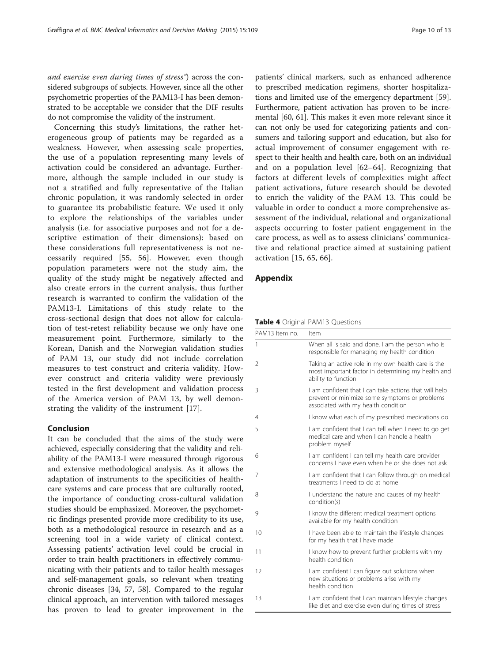<span id="page-9-0"></span>and exercise even during times of stress") across the considered subgroups of subjects. However, since all the other psychometric properties of the PAM13-I has been demonstrated to be acceptable we consider that the DIF results do not compromise the validity of the instrument.

Concerning this study's limitations, the rather heterogeneous group of patients may be regarded as a weakness. However, when assessing scale properties, the use of a population representing many levels of activation could be considered an advantage. Furthermore, although the sample included in our study is not a stratified and fully representative of the Italian chronic population, it was randomly selected in order to guarantee its probabilistic feature. We used it only to explore the relationships of the variables under analysis (i.e. for associative purposes and not for a descriptive estimation of their dimensions): based on these considerations full representativeness is not necessarily required [\[55](#page-11-0), [56\]](#page-11-0). However, even though population parameters were not the study aim, the quality of the study might be negatively affected and also create errors in the current analysis, thus further research is warranted to confirm the validation of the PAM13-I. Limitations of this study relate to the cross-sectional design that does not allow for calculation of test-retest reliability because we only have one measurement point. Furthermore, similarly to the Korean, Danish and the Norwegian validation studies of PAM 13, our study did not include correlation measures to test construct and criteria validity. However construct and criteria validity were previously tested in the first development and validation process of the America version of PAM 13, by well demonstrating the validity of the instrument [[17\]](#page-11-0).

# Conclusion

It can be concluded that the aims of the study were achieved, especially considering that the validity and reliability of the PAM13-I were measured through rigorous and extensive methodological analysis. As it allows the adaptation of instruments to the specificities of healthcare systems and care process that are culturally rooted, the importance of conducting cross-cultural validation studies should be emphasized. Moreover, the psychometric findings presented provide more credibility to its use, both as a methodological resource in research and as a screening tool in a wide variety of clinical context. Assessing patients' activation level could be crucial in order to train health practitioners in effectively communicating with their patients and to tailor health messages and self-management goals, so relevant when treating chronic diseases [\[34,](#page-11-0) [57](#page-12-0), [58\]](#page-12-0). Compared to the regular clinical approach, an intervention with tailored messages has proven to lead to greater improvement in the

patients' clinical markers, such as enhanced adherence to prescribed medication regimens, shorter hospitalizations and limited use of the emergency department [\[59](#page-12-0)]. Furthermore, patient activation has proven to be incremental [[60](#page-12-0), [61\]](#page-12-0). This makes it even more relevant since it can not only be used for categorizing patients and consumers and tailoring support and education, but also for actual improvement of consumer engagement with respect to their health and health care, both on an individual and on a population level [\[62](#page-12-0)–[64](#page-12-0)]. Recognizing that factors at different levels of complexities might affect patient activations, future research should be devoted to enrich the validity of the PAM 13. This could be valuable in order to conduct a more comprehensive assessment of the individual, relational and organizational aspects occurring to foster patient engagement in the care process, as well as to assess clinicians' communicative and relational practice aimed at sustaining patient activation [\[15](#page-11-0), [65, 66\]](#page-12-0).

# Appendix

### Table 4 Original PAM13 Questions

| PAM13 Item no. | Item                                                                                                                                          |
|----------------|-----------------------------------------------------------------------------------------------------------------------------------------------|
| 1              | When all is said and done. I am the person who is<br>responsible for managing my health condition                                             |
| $\overline{2}$ | Taking an active role in my own health care is the<br>most important factor in determining my health and<br>ability to function               |
| 3              | I am confident that I can take actions that will help<br>prevent or minimize some symptoms or problems<br>associated with my health condition |
| 4              | I know what each of my prescribed medications do                                                                                              |
| 5              | I am confident that I can tell when I need to go get<br>medical care and when I can handle a health<br>problem myself                         |
| 6              | I am confident I can tell my health care provider<br>concerns I have even when he or she does not ask                                         |
| 7              | I am confident that I can follow through on medical<br>treatments I need to do at home                                                        |
| 8              | I understand the nature and causes of my health<br>condition(s)                                                                               |
| 9              | I know the different medical treatment options<br>available for my health condition                                                           |
| 10             | I have been able to maintain the lifestyle changes<br>for my health that I have made                                                          |
| 11             | I know how to prevent further problems with my<br>health condition                                                                            |
| 12             | I am confident I can figure out solutions when<br>new situations or problems arise with my<br>health condition                                |
| 13             | I am confident that I can maintain lifestyle changes<br>like diet and exercise even during times of stress                                    |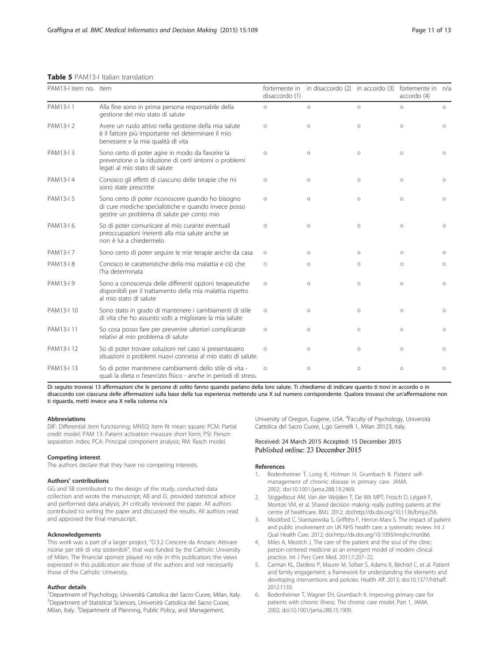# <span id="page-10-0"></span>Table 5 PAM13-I Italian translation

| PAM13-I item no. Item |                                                                                                                                                          | fortemente in<br>disaccordo (1) | in disaccordo (2) in accordo (3) |         | fortemente in n/a<br>accordo (4) |         |  |
|-----------------------|----------------------------------------------------------------------------------------------------------------------------------------------------------|---------------------------------|----------------------------------|---------|----------------------------------|---------|--|
| PAM13-I1              | Alla fine sono in prima persona responsabile della<br>gestione del mio stato di salute                                                                   |                                 | $\circ$                          | $\circ$ | $\circ$                          | $\circ$ |  |
| PAM13-I 2             | Avere un ruolo attivo nella gestione della mia salute<br>è il fattore più importante nel determinare il mio<br>benessere e la mia qualità di vita        | $\circ$                         | $\circ$                          | $\circ$ | $\circ$                          | $\circ$ |  |
| PAM13-I 3             | Sono certo di poter agire in modo da favorire la<br>prevenzione o la riduzione di certi sintomi o problemi<br>legati al mio stato di salute              | $\circ$                         | $\circ$                          | $\circ$ | $\circ$                          | $\circ$ |  |
| PAM13-I 4             | Conosco gli effetti di ciascuno delle terapie che mi<br>sono state prescritte                                                                            | $\circ$                         | $\circ$                          | $\circ$ | $\circ$                          | $\circ$ |  |
| PAM13-I 5             | Sono certo di poter riconoscere quando ho bisogno<br>di cure mediche specialistiche e quando invece posso<br>gestire un problema di salute per conto mio | $\circ$                         | $\circ$                          | $\circ$ | $\circ$                          | $\circ$ |  |
| PAM13-I 6             | So di poter comunicare al mio curante eventuali<br>preoccupazioni inerenti alla mia salute anche se<br>non è lui a chiedermelo                           | $\circ$                         | $\circ$                          | $\circ$ | $\circ$                          | $\circ$ |  |
| PAM13-I 7             | Sono certo di poter seguire le mie terapie anche da casa                                                                                                 | $\circ$                         | $\circ$                          | $\circ$ | $\circ$                          | $\circ$ |  |
| PAM13-I 8             | Conosco le caratteristiche della mia malattia e ciò che<br>l'ha determinata                                                                              | $\circ$                         | $\circ$                          | $\circ$ | $\circ$                          | $\circ$ |  |
| PAM13-I 9             | Sono a conoscenza delle differenti opzioni terapeutiche<br>disponibili per il trattamento della mia malattia rispetto<br>al mio stato di salute          | $\circ$                         | $\circ$                          | $\circ$ | $\circ$                          | $\circ$ |  |
| PAM13-I 10            | Sono stato in grado di mantenere i cambiamenti di stile<br>di vita che ho assunto volti a migliorare la mia salute                                       | $\circ$                         | $\circ$                          | $\circ$ | $\circ$                          | $\circ$ |  |
| PAM13-I 11            | So cosa posso fare per prevenire ulteriori complicanze<br>relativi al mio problema di salute                                                             | $\circ$                         | $\circ$                          | $\circ$ | $\circ$                          | $\circ$ |  |
| PAM13-I 12            | So di poter trovare soluzioni nel caso si presentassero<br>situazioni o problemi nuovi connessi al mio stato di salute.                                  | $\circ$                         | $\circ$                          | $\circ$ | $\circ$                          | $\circ$ |  |
| PAM13-I 13            | So di poter mantenere cambiamenti dello stile di vita -<br>quali la dieta o l'esercizio fisico - anche in periodi di stress.                             | $\circ$                         | $\circ$                          | $\circ$ | $\circ$                          | $\circ$ |  |

Di seguito troverai 13 affermazioni che le persone di solito fanno quando parlano della loro salute. Ti chiediamo di indicare quanto ti trovi in accordo o in disaccordo con ciascuna delle affermazioni sulla base della tua esperienza mettendo una X sul numero corrispondente. Qualora trovassi che un'affermazione non ti riguarda, metti invece una X nella colonna n/a

### Abbreviations

DIF: Differential item functioning; MNSQ: Item fit mean square; PCM: Partial credit model; PAM 13: Patient activation measure short form; PSI: Person separation index; PCA: Principal component analysis; RM: Rasch model.

### Competing interest

The authors declare that they have no competing interests.

### Authors' contributions

GG and SB contributed to the design of the study, conducted data collection and wrote the manuscript; AB and EL provided statistical advice and performed data analysis; JH critically reviewed the paper. All authors contributed to writing the paper and discussed the results. All authors read and approved the final manuscript.

### Acknowledgements

This work was a part of a larger project, "D.3.2 Crescere da Anziani: Attivare risorse per stili di vita sostenibili", that was funded by the Catholic University of Milan. The financial sponsor played no role in this publication; the views expressed in this publication are those of the authors and not necessarily those of the Catholic University.

### Author details

<sup>1</sup>Department of Psychology, Università Cattolica del Sacro Cuore, Milan, Italy. 2 Department of Statistical Sciences, Università Cattolica del Sacro Cuore, Milan, Italy. <sup>3</sup>Department of Planning, Public Policy, and Management,

University of Oregon, Eugene, USA. <sup>4</sup> Faculty of Psychology, Università Cattolica del Sacro Cuore, L.go Gemelli 1, Milan 20123, Italy.

# Received: 24 March 2015 Accepted: 15 December 2015 Published online: 23 December 2015

### References

- 1. Bodenheimer T, Lorig K, Holman H, Grumbach K. Patient selfmanagement of chronic disease in primary care. JAMA. 2002; doi:[10.1001/jama.288.19.2469.](http://dx.doi.org/10.1001/jama.288.19.2469)
- 2. Stiggelbout AM, Van der Weijden T, De Wit MPT, Frosch D, Légaré F, Montori VM, et al. Shared decision making: really putting patients at the centre of healthcare. BMJ. 2012; doi:http://dx.doi.org[/10.1136/bmj.e256](http://dx.doi.org/10.1136/bmj.e256).
- 3. Mockford C, Staniszewska S, Griffiths F, Herron-Marx S. The impact of patient and public involvement on UK NHS health care: a systematic review. Int J Qual Health Care. 2012; doi:http://dx.doi.org[/10.1093/intqhc/mzr066](http://dx.doi.org/10.1093/intqhc/mzr066).
- 4. Miles A, Mezzich J. The care of the patient and the soul of the clinic: person-centered medicine as an emergent model of modern clinical practice. Int J Pers Cent Med. 2011;1:207–22.
- 5. Carman KL, Dardess P, Maurer M, Sofaer S, Adams K, Bechtel C, et al. Patient and family engagement: a framework for understanding the elements and developing interventions and policies. Health Aff. 2013; doi:[10.1377/hlthaff.](http://dx.doi.org/10.1377/hlthaff.2012.1133) [2012.1133](http://dx.doi.org/10.1377/hlthaff.2012.1133).
- 6. Bodenheimer T, Wagner EH, Grumbach K. Improving primary care for patients with chronic illness: The chronic care model. Part 1. JAMA. 2002; doi[:10.1001/jama.288.15.1909](http://dx.doi.org/10.1001/jama.288.15.1909).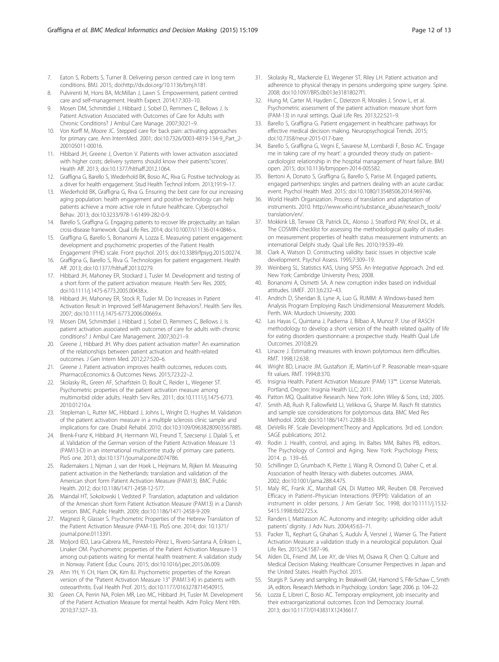- <span id="page-11-0"></span>7. Eaton S, Roberts S, Turner B. Delivering person centred care in long term conditions. BMJ. 2015; doi:http://dx.doi.org/[10.1136/bmj.h181.](http://dx.doi.org/10.1136/bmj.h181)
- 8. Pulvirenti M, Hons BA, McMillan J, Lawn S. Empowerment, patient centred care and self‐management. Health Expect. 2014;17:303–10.
- 9. Mosen DM, Schmittdiel J, Hibbard J, Sobel D, Remmers C, Bellows J. Is Patient Activation Associated with Outcomes of Care for Adults with Chronic Conditions? J Ambul Care Manage. 2007;30:21–9.
- 10. Von Korff M, Moore JC. Stepped care for back pain: activating approaches for primary care. Ann InternMed. 2001; doi[:10.7326/0003-4819-134-9\\_Part\\_2-](http://dx.doi.org/10.7326/0003-4819-134-9_Part_2-200105011-00016) [200105011-00016.](http://dx.doi.org/10.7326/0003-4819-134-9_Part_2-200105011-00016)
- 11. Hibbard JH, Greene J, Overton V. Patients with lower activation associated with higher costs; delivery systems should know their patients''scores'. Health Aff. 2013; doi:[10.1377/hlthaff.2012.1064.](http://dx.doi.org/10.1377/hlthaff.2012.1064)
- 12. Graffigna G, Barello S, Wiederhold BK, Bosio AC, Riva G. Positive technology as a driver for health engagement. Stud Health Technol Inform. 2013;191:9–17.
- 13. Wiederhold BK, Graffigna G, Riva G. Ensuring the best care for our increasing aging population: health engagement and positive technology can help patients achieve a more active role in future healthcare. Cyberpsychol Behav. 2013; doi[:10.3233/978-1-61499-282-0-9.](http://dx.doi.org/10.3233/978-1-61499-282-0-9)
- 14. Barello S, Graffigna G. Engaging patients to recover life projectuality: an Italian cross-disease framework. Qual Life Res. 2014; doi[:10.1007/s11136-014-0846-x](http://dx.doi.org/10.1007/s11136-014-0846-x).
- 15. Graffigna G, Barello S, Bonanomi A, Lozza E. Measuring patient engagement: development and psychometric properties of the Patient Health
- Engagement (PHE) scale. Front psychol. 2015; doi[:10.3389/fpsyg.2015.00274.](http://dx.doi.org/10.3389/fpsyg.2015.00274) 16. Graffigna G, Barello S, Riva G. Technologies for patient engagement. Health Aff. 2013; doi[:10.1377/hlthaff.2013.0279](http://dx.doi.org/10.1377/hlthaff.2013.0279).
- 17. Hibbard JH, Mahoney ER, Stockard J, Tusler M. Development and testing of a short form of the patient activation measure. Health Serv Res. 2005; doi[:10.1111/j.1475-6773.2005.00438.x](http://dx.doi.org/10.1111/j.1475-6773.2005.00438.x).
- 18. Hibbard JH, Mahoney ER, Stock R, Tusler M. Do Increases in Patient Activation Result in Improved Self-Management Behaviors?. Health Serv Res. 2007; doi:[10.1111/j.1475-6773.2006.00669.x](http://dx.doi.org/10.1111/j.1475-6773.2006.00669.x).
- 19. Mosen DM, Schmittdiel J, Hibbard J, Sobel D, Remmers C, Bellows J. Is patient activation associated with outcomes of care for adults with chronic conditions? J Ambul Care Management. 2007;30:21–9.
- 20. Greene J, Hibbard JH. Why does patient activation matter? An examination of the relationships between patient activation and health-related outcomes. J Gen Intern Med. 2012;27:520–6.
- 21. Greene J. Patient activation improves health outcomes, reduces costs. PharmacoEconomics & Outcomes News. 2015;723:22–2.
- 22. Skolasky RL, Green AF, Scharfstein D, Boult C, Reider L, Wegener ST. Psychometric properties of the patient activation measure among multimorbid older adults. Health Serv Res. 2011; doi[:10.1111/j.1475-6773.](http://dx.doi.org/10.1111/j.1475-6773.2010.01210.x) [2010.01210.x.](http://dx.doi.org/10.1111/j.1475-6773.2010.01210.x)
- 23. Stepleman L, Rutter MC, Hibbard J, Johns L, Wright D, Hughes M. Validation of the patient activation measure in a multiple sclerosis clinic sample and implications for care. Disabil Rehabil. 2010; doi[:10.3109/09638280903567885](http://dx.doi.org/10.3109/09638280903567885).
- 24. Brenk-Franz K, Hibbard JH, Herrmann WJ, Freund T, Szecsenyi J, Djalali S, et al. Validation of the German version of the Patient Activation Measure 13 (PAM13-D) in an international multicentre study of primary care patients. PloS one. 2013; doi:[10.1371/journal.pone.0074786](http://dx.doi.org/10.1371/journal.pone.0074786).
- 25. Rademakers J, Nijman J, van der Hoek L, Heijmans M, Rijken M. Measuring patient activation in the Netherlands: translation and validation of the American short form Patient Activation Measure (PAM13). BMC Public Health. 2012; doi:[10.1186/1471-2458-12-577](http://dx.doi.org/10.1186/1471-2458-12-577).
- 26. Maindal HT, Sokolowski I, Vedsted P. Translation, adaptation and validation of the American short form Patient Activation Measure (PAM13) in a Danish version. BMC Public Health. 2009; doi:[10.1186/1471-2458-9-209](http://dx.doi.org/10.1186/1471-2458-9-209).
- 27. Magnezi R, Glasser S. Psychometric Properties of the Hebrew Translation of the Patient Activation Measure (PAM-13). PloS one. 2014; doi: [10.1371/](http://dx.doi.org/10.1371/journal.pone.0113391) [journal.pone.0113391](http://dx.doi.org/10.1371/journal.pone.0113391).
- 28. Moljord IEO, Lara-Cabrera ML, Perestelo-Pérez L, Rivero-Santana A, Eriksen L, Linaker OM. Psychometric properties of the Patient Activation Measure-13 among out-patients waiting for mental health treatment: A validation study in Norway. Patient Educ Couns. 2015; doi:[10.1016/j.pec.2015.06.009](http://dx.doi.org/10.1016/j.pec.2015.06.009).
- 29. Ahn YH, Yi CH, Ham OK, Kim BJ. Psychometric properties of the Korean version of the "Patient Activation Measure 13" (PAM13-K) in patients with osteoarthritis. Eval Health Prof. 2015; doi[:10.1177/0163278714540915](http://dx.doi.org/10.1177/0163278714540915).
- 30. Green CA, Perrin NA, Polen MR, Leo MC, Hibbard JH, Tusler M. Development of the Patient Activation Measure for mental health. Adm Policy Ment Hlth. 2010;37:327–33.
- 31. Skolasky RL, Mackenzie EJ, Wegener ST, Riley LH. Patient activation and adherence to physical therapy in persons undergoing spine surgery. Spine. 2008; doi[:10.1097/BRS.0b013e31818027f1](http://dx.doi.org/10.1097/BRS.0b013e31818027f1).
- 32. Hung M, Carter M, Hayden C, Dzierzon R, Morales J, Snow L, et al. Psychometric assessment of the patient activation measure short form (PAM-13) in rural settings. Qual Life Res. 2013;22:521–9.
- 33. Barello S, Graffigna G. Patient engagement in healthcare: pathways for effective medical decision making. Neuropsychogical Trends. 2015; doi[:10.7358/neur-2015-017-bare.](http://dx.doi.org/10.7358/neur-2015-017-bare)
- 34. Barello S, Graffigna G, Vegni E, Savarese M, Lombardi F, Bosio AC. 'Engage me in taking care of my heart': a grounded theory study on patient– cardiologist relationship in the hospital management of heart failure. BMJ open. 2015; doi[:10.1136/bmjopen-2014-005582.](http://dx.doi.org/10.1136/bmjopen-2014-005582)
- 35. Bertoni A, Donato S, Graffigna G, Barello S, Parise M. Engaged patients, engaged partnerships: singles and partners dealing with an acute cardiac event. Psychol Health Med. 2015; doi:[10.1080/13548506.2014.969746](http://dx.doi.org/10.1080/13548506.2014.969746).
- 36. World Health Organization. Process of translation and adaptation of instruments. 2010. [http://www.who.int/substance\\_abuse/research\\_tools/](http://www.who.int/substance_abuse/research_tools/translation/en/) [translation/en/](http://www.who.int/substance_abuse/research_tools/translation/en/).
- 37. Mokkink LB, Terwee CB, Patrick DL, Alonso J, Stratford PW, Knol DL, et al. The COSMIN checklist for assessing the methodological quality of studies on measurement properties of health status measurement instruments: an international Delphi study. Qual Life Res. 2010;19:539–49.
- 38. Clark A, Watson D. Constructing validity: basic issues in objective scale development. Psychol Assess. 1995;7:309–19.
- 39. Weinberg SL, Statistics KAS, Using SPSS. An Integrative Approach. 2nd ed. New York: Cambridge University Press; 2008.
- 40. Bonanomi A, Osmetti SA. A new corruption index based on individual attitudes. IJMEF. 2013;6:232–43.
- 41. Andrich D, Sheridan B, Lyne A, Luo G. RUMM: A Windows-based Item Analysis Program Employing Rasch Unidimensional Measurement Models. Perth. WA: Murdoch University; 2000.
- 42. Las Hayas C, Quintana J, Padierna J, Bilbao A, Munoz P. Use of RASCH methodology to develop a short version of the health related quality of life for eating disorders questionnaire: a prospective study. Health Qual Life Outcomes. 2010;8:29.
- 43. Linacre J. Estimating measures with known polytomous item difficulties. RMT. 1998;12:638.
- 44. Wright BD, Linacre JM, Gustafson JE, Martin-Lof P. Reasonable mean-square fit values. RMT. 1994;8:370.
- 45. Insignia Health. Patient Activation Measure (PAM) 13™. License Materials. Portland, Oregon: Insignia Health LLC; 2011.
- 46. Patton MQ. Qualitative Research. New York: John Wiley & Sons, Ltd.; 2005.
- 47. Smith AB, Rush R, Fallowfield LJ, Velikova G, Sharpe M. Rasch fit statistics and sample size considerations for polytomous data. BMC Med Res Methodol. 2008; doi[:10.1186/1471-2288-8-33.](http://dx.doi.org/10.1186/1471-2288-8-33)
- DeVellis RF. Scale Development:Theory and Applications. 3rd ed. London: SAGE publications; 2012.
- 49. Rodin J. Health, control, and aging. In: Baltes MM, Baltes PB, editors. The Psychology of Control and Aging. New York: Psychology Press; 2014. p. 139–65.
- 50. Schillinger D, Grumbach K, Piette J, Wang R, Osmond D, Daher C, et al. Association of health literacy with diabetes outcomes. JAMA. 2002; doi[:10.1001/jama.288.4.475](http://dx.doi.org/10.1001/jama.288.4.475).
- 51. Maly RC, Frank JC, Marshall GN, Di Matteo MR, Reuben DB. Perceived Efficacy in Patient–Physician Interactions (PEPPI): Validation of an instrument in older persons. J Am Geriatr Soc. 1998; doi[:10.1111/j.1532-](http://dx.doi.org/10.1111/j.1532-5415.1998.tb02725.x) [5415.1998.tb02725.x](http://dx.doi.org/10.1111/j.1532-5415.1998.tb02725.x).
- 52. Randers I, Mattiasson AC. Autonomy and integrity: upholding older adult patients' dignity. J Adv Nurs. 2004;45:63–71.
- 53. Packer TL, Kephart G, Ghahari S, Audulv Å, Versnel J, Warner G. The Patient Activation Measure: a validation study in a neurological population. Qual Life Res. 2015;24:1587–96.
- 54. Alden DL, Friend JM, Lee AY, de Vries M, Osawa R, Chen Q. Culture and Medical Decision Making: Healthcare Consumer Perspectives in Japan and the United States. Health Psychol. 2015.
- 55. Sturgis P. Survey and sampling. In: Breakwell GM, Hamond S, Fife-Schaw C, Smith JA, editors. Research Methods in Psychology. London: Sage; 2006. p. 104–22.
- 56. Lozza E, Libreri C, Bosio AC. Temporary employment, job insecurity and their extraorganizational outcomes. Econ Ind Democracy Journal. 2013; doi[:10.1177/0143831X12436617](http://dx.doi.org/10.1177/0143831X12436617).